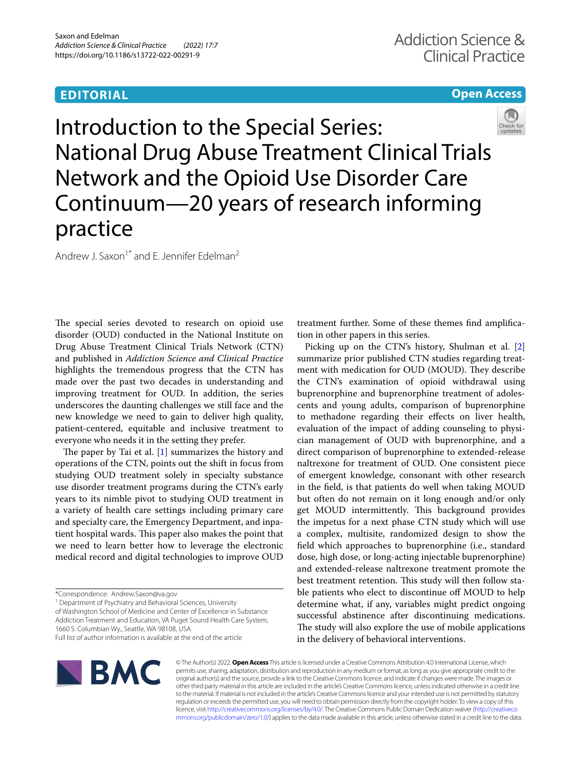# **EDITORIAL**

## **Open Access**



Introduction to the Special Series: National Drug Abuse Treatment Clinical Trials Network and the Opioid Use Disorder Care Continuum—20 years of research informing practice

Andrew J. Saxon<sup>1\*</sup> and E. Jennifer Edelman<sup>2</sup>

The special series devoted to research on opioid use disorder (OUD) conducted in the National Institute on Drug Abuse Treatment Clinical Trials Network (CTN) and published in *Addiction Science and Clinical Practice* highlights the tremendous progress that the CTN has made over the past two decades in understanding and improving treatment for OUD. In addition, the series underscores the daunting challenges we still face and the new knowledge we need to gain to deliver high quality, patient-centered, equitable and inclusive treatment to everyone who needs it in the setting they prefer.

The paper by Tai et al.  $[1]$  summarizes the history and operations of the CTN, points out the shift in focus from studying OUD treatment solely in specialty substance use disorder treatment programs during the CTN's early years to its nimble pivot to studying OUD treatment in a variety of health care settings including primary care and specialty care, the Emergency Department, and inpatient hospital wards. This paper also makes the point that we need to learn better how to leverage the electronic medical record and digital technologies to improve OUD

<sup>1</sup> Department of Psychiatry and Behavioral Sciences, University

of Washington School of Medicine and Center of Excellence in Substance Addiction Treatment and Education, VA Puget Sound Health Care System, 1660 S. Columbian Wy., Seattle, WA 98108, USA

treatment further. Some of these themes fnd amplifcation in other papers in this series.

Picking up on the CTN's history, Shulman et al. [\[2](#page-2-1)] summarize prior published CTN studies regarding treatment with medication for OUD (MOUD). They describe the CTN's examination of opioid withdrawal using buprenorphine and buprenorphine treatment of adolescents and young adults, comparison of buprenorphine to methadone regarding their efects on liver health, evaluation of the impact of adding counseling to physician management of OUD with buprenorphine, and a direct comparison of buprenorphine to extended-release naltrexone for treatment of OUD. One consistent piece of emergent knowledge, consonant with other research in the feld, is that patients do well when taking MOUD but often do not remain on it long enough and/or only get MOUD intermittently. This background provides the impetus for a next phase CTN study which will use a complex, multisite, randomized design to show the feld which approaches to buprenorphine (i.e., standard dose, high dose, or long-acting injectable buprenorphine) and extended-release naltrexone treatment promote the best treatment retention. This study will then follow stable patients who elect to discontinue off MOUD to help determine what, if any, variables might predict ongoing successful abstinence after discontinuing medications. The study will also explore the use of mobile applications in the delivery of behavioral interventions.



© The Author(s) 2022. **Open Access** This article is licensed under a Creative Commons Attribution 4.0 International License, which permits use, sharing, adaptation, distribution and reproduction in any medium or format, as long as you give appropriate credit to the original author(s) and the source, provide a link to the Creative Commons licence, and indicate if changes were made. The images or other third party material in this article are included in the article's Creative Commons licence, unless indicated otherwise in a credit line to the material. If material is not included in the article's Creative Commons licence and your intended use is not permitted by statutory regulation or exceeds the permitted use, you will need to obtain permission directly from the copyright holder. To view a copy of this licence, visit [http://creativecommons.org/licenses/by/4.0/.](http://creativecommons.org/licenses/by/4.0/) The Creative Commons Public Domain Dedication waiver ([http://creativeco](http://creativecommons.org/publicdomain/zero/1.0/) [mmons.org/publicdomain/zero/1.0/](http://creativecommons.org/publicdomain/zero/1.0/)) applies to the data made available in this article, unless otherwise stated in a credit line to the data.

<sup>\*</sup>Correspondence: Andrew.Saxon@va.gov

Full list of author information is available at the end of the article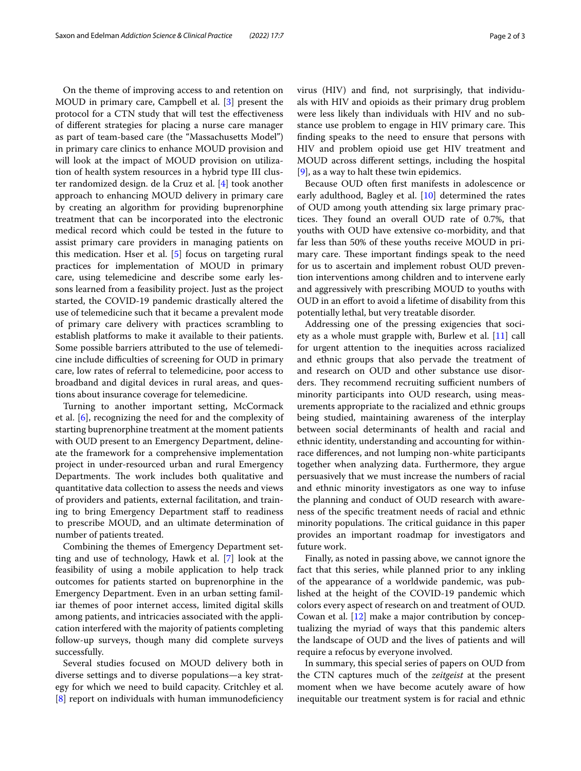On the theme of improving access to and retention on MOUD in primary care, Campbell et al. [\[3](#page-2-2)] present the protocol for a CTN study that will test the efectiveness of diferent strategies for placing a nurse care manager as part of team-based care (the "Massachusetts Model") in primary care clinics to enhance MOUD provision and will look at the impact of MOUD provision on utilization of health system resources in a hybrid type III cluster randomized design. de la Cruz et al. [\[4](#page-2-3)] took another approach to enhancing MOUD delivery in primary care by creating an algorithm for providing buprenorphine treatment that can be incorporated into the electronic medical record which could be tested in the future to assist primary care providers in managing patients on this medication. Hser et al. [[5](#page-2-4)] focus on targeting rural practices for implementation of MOUD in primary care, using telemedicine and describe some early lessons learned from a feasibility project. Just as the project started, the COVID-19 pandemic drastically altered the use of telemedicine such that it became a prevalent mode of primary care delivery with practices scrambling to establish platforms to make it available to their patients. Some possible barriers attributed to the use of telemedicine include difculties of screening for OUD in primary care, low rates of referral to telemedicine, poor access to broadband and digital devices in rural areas, and questions about insurance coverage for telemedicine.

Turning to another important setting, McCormack et al. [[6\]](#page-2-5), recognizing the need for and the complexity of starting buprenorphine treatment at the moment patients with OUD present to an Emergency Department, delineate the framework for a comprehensive implementation project in under-resourced urban and rural Emergency Departments. The work includes both qualitative and quantitative data collection to assess the needs and views of providers and patients, external facilitation, and training to bring Emergency Department staff to readiness to prescribe MOUD, and an ultimate determination of number of patients treated.

Combining the themes of Emergency Department setting and use of technology, Hawk et al. [\[7\]](#page-2-6) look at the feasibility of using a mobile application to help track outcomes for patients started on buprenorphine in the Emergency Department. Even in an urban setting familiar themes of poor internet access, limited digital skills among patients, and intricacies associated with the application interfered with the majority of patients completing follow-up surveys, though many did complete surveys successfully.

Several studies focused on MOUD delivery both in diverse settings and to diverse populations—a key strategy for which we need to build capacity. Critchley et al. [[8\]](#page-2-7) report on individuals with human immunodefciency virus (HIV) and fnd, not surprisingly, that individuals with HIV and opioids as their primary drug problem were less likely than individuals with HIV and no substance use problem to engage in HIV primary care. This fnding speaks to the need to ensure that persons with HIV and problem opioid use get HIV treatment and MOUD across diferent settings, including the hospital [[9\]](#page-2-8), as a way to halt these twin epidemics.

Because OUD often frst manifests in adolescence or early adulthood, Bagley et al. [\[10](#page-2-9)] determined the rates of OUD among youth attending six large primary practices. They found an overall OUD rate of 0.7%, that youths with OUD have extensive co-morbidity, and that far less than 50% of these youths receive MOUD in primary care. These important findings speak to the need for us to ascertain and implement robust OUD prevention interventions among children and to intervene early and aggressively with prescribing MOUD to youths with OUD in an efort to avoid a lifetime of disability from this potentially lethal, but very treatable disorder.

Addressing one of the pressing exigencies that society as a whole must grapple with, Burlew et al. [\[11\]](#page-2-10) call for urgent attention to the inequities across racialized and ethnic groups that also pervade the treatment of and research on OUD and other substance use disorders. They recommend recruiting sufficient numbers of minority participants into OUD research, using measurements appropriate to the racialized and ethnic groups being studied, maintaining awareness of the interplay between social determinants of health and racial and ethnic identity, understanding and accounting for withinrace diferences, and not lumping non-white participants together when analyzing data. Furthermore, they argue persuasively that we must increase the numbers of racial and ethnic minority investigators as one way to infuse the planning and conduct of OUD research with awareness of the specifc treatment needs of racial and ethnic minority populations. The critical guidance in this paper provides an important roadmap for investigators and future work.

Finally, as noted in passing above, we cannot ignore the fact that this series, while planned prior to any inkling of the appearance of a worldwide pandemic, was published at the height of the COVID-19 pandemic which colors every aspect of research on and treatment of OUD. Cowan et al. [[12\]](#page-2-11) make a major contribution by conceptualizing the myriad of ways that this pandemic alters the landscape of OUD and the lives of patients and will require a refocus by everyone involved.

In summary, this special series of papers on OUD from the CTN captures much of the *zeitgeist* at the present moment when we have become acutely aware of how inequitable our treatment system is for racial and ethnic